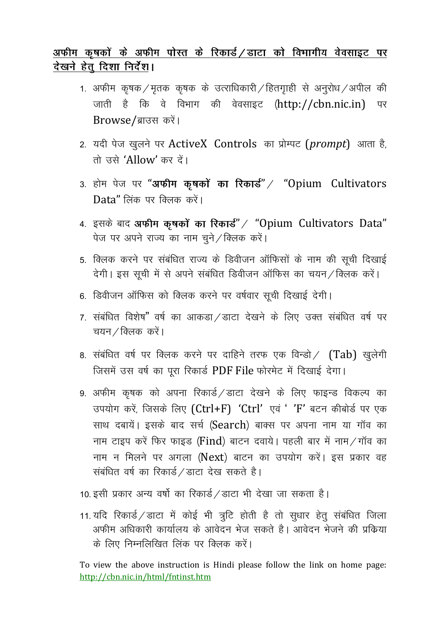# अफीम कृषकों के अफीम पोस्त के रिकार्ड / डाटा को विभागीय वेवसाइट पर देखने हेतू दिशा निर्देश।

- 1. अफीम कृषक / मृतक कृषक के उत्राधिकारी / हितगाड़ी से अनुरोध / अपील की जाती है कि वे विभाग की वेवसाइट (http://cbn.nic.in) पर Browse/ब्राउस करें।
- 2. यदी पेज खुलने पर ActiveX Controls का प्रोम्पट (prompt) आता है, तो उसे 'Allow' कर दें।
- 3. होम पेज पर "अफीम कृषकों का रिकार्ड" / "Opium Cultivators Data" लिंक पर क्लिक करें।
- 4. इसके बाद अफीम कृषकों का रिकार्ड" / "Opium Cultivators Data" पेज पर अपने राज्य का नाम चुने / क्लिक करें।
- 5. क्लिक करने पर संबंधित राज्य के डिवीजन ऑफिसों के नाम की सूची दिखाई देगी। इस सूची में से अपने संबंधित डिवीजन ऑफिस का चयन / क्लिक करें।
- 6. डिवीजन ऑफिस को क्लिक करने पर वर्षवार सूची दिखाई देगी।
- 7. संबंधित विशेष" वर्ष का आकडा / डाटा देखने के लिए उक्त संबंधित वर्ष पर चयन / क्लिक करें।
- 8. संबंधित वर्ष पर क्लिक करने पर दाहिने तरफ एक विन्डो / (Tab) खुलेगी जिसमें उस वर्ष का पूरा रिकार्ड PDF File फोरमेट में दिखाई देगा।
- 9. अफीम कृषक को अपना रिकार्ड / डाटा देखने के लिए फाइन्ड विकल्प का उपयोग करें, जिसके लिए (Ctrl+F) 'Ctrl' एवं ' 'F' बटन कीबोर्ड पर एक साथ दबायें। इसके बाद सर्च (Search) बाक्स पर अपना नाम या गाँव का नाम टाइप करें फिर फाइड (Find) बाटन दवाये। पहली बार में नाम/गॉव का नाम न मिलने पर अगला (Next) बाटन का उपयोग करें। इस प्रकार वह संबंधित वर्ष का रिकार्ड / डाटा देख सकते है।
- 10. इसी प्रकार अन्य वर्षो का रिकार्ड / डाटा भी देखा जा सकता है।
- 11. यदि रिकार्ड / डाटा में कोई भी त्रूटि होती है तो सूधार हेतू संबंधित जिला अफीम अधिकारी कार्यालय के आवेदन भेज सकते है। आवेदन भेजने की प्रक्रिया के लिए निम्नलिखित लिंक पर क्लिक करें।

To view the above instruction is Hindi please follow the link on home page: http://cbn.nic.in/html/fntinst.htm